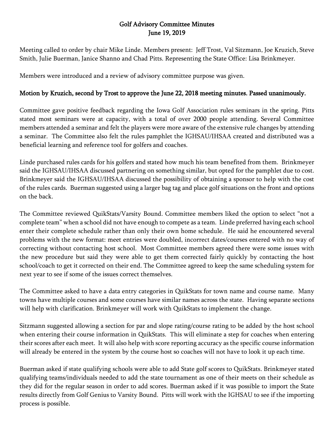## Golf Advisory Committee Minutes June 19, 2019

Meeting called to order by chair Mike Linde. Members present: Jeff Trost, Val Sitzmann, Joe Kruzich, Steve Smith, Julie Buerman, Janice Shanno and Chad Pitts. Representing the State Office: Lisa Brinkmeyer.

Members were introduced and a review of advisory committee purpose was given.

## Motion by Kruzich, second by Trost to approve the June 22, 2018 meeting minutes. Passed unanimously.

Committee gave positive feedback regarding the Iowa Golf Association rules seminars in the spring. Pitts stated most seminars were at capacity, with a total of over 2000 people attending. Several Committee members attended a seminar and felt the players were more aware of the extensive rule changes by attending a seminar. The Committee also felt the rules pamphlet the IGHSAU/IHSAA created and distributed was a beneficial learning and reference tool for golfers and coaches.

Linde purchased rules cards for his golfers and stated how much his team benefited from them. Brinkmeyer said the IGHSAU/IHSAA discussed partnering on something similar, but opted for the pamphlet due to cost. Brinkmeyer said the IGHSAU/IHSAA discussed the possibility of obtaining a sponsor to help with the cost of the rules cards. Buerman suggested using a larger bag tag and place golf situations on the front and options on the back.

The Committee reviewed QuikStats/Varsity Bound. Committee members liked the option to select "not a complete team" when a school did not have enough to compete as a team. Linde preferred having each school enter their complete schedule rather than only their own home schedule. He said he encountered several problems with the new format: meet entries were doubled, incorrect dates/courses entered with no way of correcting without contacting host school. Most Committee members agreed there were some issues with the new procedure but said they were able to get them corrected fairly quickly by contacting the host school/coach to get it corrected on their end. The Committee agreed to keep the same scheduling system for next year to see if some of the issues correct themselves.

The Committee asked to have a data entry categories in QuikStats for town name and course name. Many towns have multiple courses and some courses have similar names across the state. Having separate sections will help with clarification. Brinkmeyer will work with QuikStats to implement the change.

Sitzmann suggested allowing a section for par and slope rating/course rating to be added by the host school when entering their course information in QuikStats. This will eliminate a step for coaches when entering their scores after each meet. It will also help with score reporting accuracy as the specific course information will already be entered in the system by the course host so coaches will not have to look it up each time.

Buerman asked if state qualifying schools were able to add State golf scores to QuikStats. Brinkmeyer stated qualifying teams/individuals needed to add the state tournament as one of their meets on their schedule as they did for the regular season in order to add scores. Buerman asked if it was possible to import the State results directly from Golf Genius to Varsity Bound. Pitts will work with the IGHSAU to see if the importing process is possible.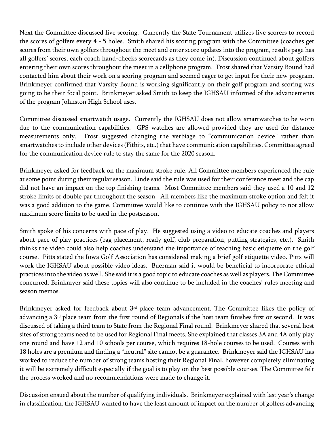Next the Committee discussed live scoring. Currently the State Tournament utilizes live scorers to record the scores of golfers every 4 - 5 holes. Smith shared his scoring program with the Committee (coaches get scores from their own golfers throughout the meet and enter score updates into the program, results page has all golfers' scores, each coach hand-checks scorecards as they come in). Discussion continued about golfers entering their own scores throughout the meet in a cellphone program. Trost shared that Varsity Bound had contacted him about their work on a scoring program and seemed eager to get input for their new program. Brinkmeyer confirmed that Varsity Bound is working significantly on their golf program and scoring was going to be their focal point. Brinkmeyer asked Smith to keep the IGHSAU informed of the advancements of the program Johnston High School uses.

Committee discussed smartwatch usage. Currently the IGHSAU does not allow smartwatches to be worn due to the communication capabilities. GPS watches are allowed provided they are used for distance measurements only. Trost suggested changing the verbiage to "communication device" rather than smartwatches to include other devices (Fitbits, etc.) that have communication capabilities. Committee agreed for the communication device rule to stay the same for the 2020 season.

Brinkmeyer asked for feedback on the maximum stroke rule. All Committee members experienced the rule at some point during their regular season. Linde said the rule was used for their conference meet and the cap did not have an impact on the top finishing teams. Most Committee members said they used a 10 and 12 stroke limits or double par throughout the season. All members like the maximum stroke option and felt it was a good addition to the game. Committee would like to continue with the IGHSAU policy to not allow maximum score limits to be used in the postseason.

Smith spoke of his concerns with pace of play. He suggested using a video to educate coaches and players about pace of play practices (bag placement, ready golf, club preparation, putting strategies, etc.). Smith thinks the video could also help coaches understand the importance of teaching basic etiquette on the golf course. Pitts stated the Iowa Golf Association has considered making a brief golf etiquette video. Pitts will work the IGHSAU about possible video ideas. Buerman said it would be beneficial to incorporate ethical practices into the video as well. She said it is a good topic to educate coaches as well as players. The Committee concurred. Brinkmyer said these topics will also continue to be included in the coaches' rules meeting and season memos.

Brinkmeyer asked for feedback about  $3<sup>rd</sup>$  place team advancement. The Committee likes the policy of advancing a 3<sup>rd</sup> place team from the first round of Regionals if the host team finishes first or second. It was discussed of taking a third team to State from the Regional Final round. Brinkmeyer shared that several host sites of strong teams need to be used for Regional Final meets. She explained that classes 3A and 4A only play one round and have 12 and 10 schools per course, which requires 18-hole courses to be used. Courses with 18 holes are a premium and finding a "neutral" site cannot be a guarantee. Brinkmeyer said the IGHSAU has worked to reduce the number of strong teams hosting their Regional Final, however completely eliminating it will be extremely difficult especially if the goal is to play on the best possible courses. The Committee felt the process worked and no recommendations were made to change it.

Discussion ensued about the number of qualifying individuals. Brinkmeyer explained with last year's change in classification, the IGHSAU wanted to have the least amount of impact on the number of golfers advancing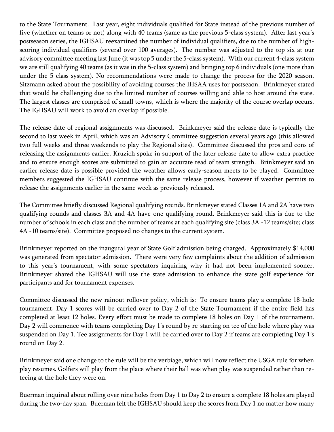to the State Tournament. Last year, eight individuals qualified for State instead of the previous number of five (whether on teams or not) along with 40 teams (same as the previous 5-class system). After last year's postseason series, the IGHSAU reexamined the number of individual qualifiers, due to the number of highscoring individual qualifiers (several over 100 averages). The number was adjusted to the top six at our advisory committee meeting last June (it was top 5 under the 5-class system). With our current 4-class system we are still qualifying 40 teams (as it was in the 5-class system) and bringing top 6 individuals (one more than under the 5-class system). No recommendations were made to change the process for the 2020 season. Sitzmann asked about the possibility of avoiding courses the IHSAA uses for postseaon. Brinkmeyer stated that would be challenging due to the limited number of courses willing and able to host around the state. The largest classes are comprised of small towns, which is where the majority of the course overlap occurs. The IGHSAU will work to avoid an overlap if possible.

The release date of regional assignments was discussed. Brinkmeyer said the release date is typically the second to last week in April, which was an Advisory Committee suggestion several years ago (this allowed two full weeks and three weekends to play the Regional sites). Committee discussed the pros and cons of releasing the assignments earlier. Kruzich spoke in support of the later release date to allow extra practice and to ensure enough scores are submitted to gain an accurate read of team strength. Brinkmeyer said an earlier release date is possible provided the weather allows early-season meets to be played. Committee members suggested the IGHSAU continue with the same release process, however if weather permits to release the assignments earlier in the same week as previously released.

The Committee briefly discussed Regional qualifying rounds. Brinkmeyer stated Classes 1A and 2A have two qualifying rounds and classes 3A and 4A have one qualifying round. Brinkmeyer said this is due to the number of schools in each class and the number of teams at each qualifying site (class 3A -12 teams/site; class 4A -10 teams/site). Committee proposed no changes to the current system.

Brinkmeyer reported on the inaugural year of State Golf admission being charged. Approximately \$14,000 was generated from spectator admission. There were very few complaints about the addition of admission to this year's tournament, with some spectators inquiring why it had not been implemented sooner. Brinkmeyer shared the IGHSAU will use the state admission to enhance the state golf experience for participants and for tournament expenses.

Committee discussed the new rainout rollover policy, which is: To ensure teams play a complete 18-hole tournament, Day 1 scores will be carried over to Day 2 of the State Tournament if the entire field has completed at least 12 holes. Every effort must be made to complete 18 holes on Day 1 of the tournament. Day 2 will commence with teams completing Day 1's round by re-starting on tee of the hole where play was suspended on Day 1. Tee assignments for Day 1 will be carried over to Day 2 if teams are completing Day 1's round on Day 2.

Brinkmeyer said one change to the rule will be the verbiage, which will now reflect the USGA rule for when play resumes. Golfers will play from the place where their ball was when play was suspended rather than reteeing at the hole they were on.

Buerman inquired about rolling over nine holes from Day 1 to Day 2 to ensure a complete 18 holes are played during the two-day span. Buerman felt the IGHSAU should keep the scores from Day 1 no matter how many